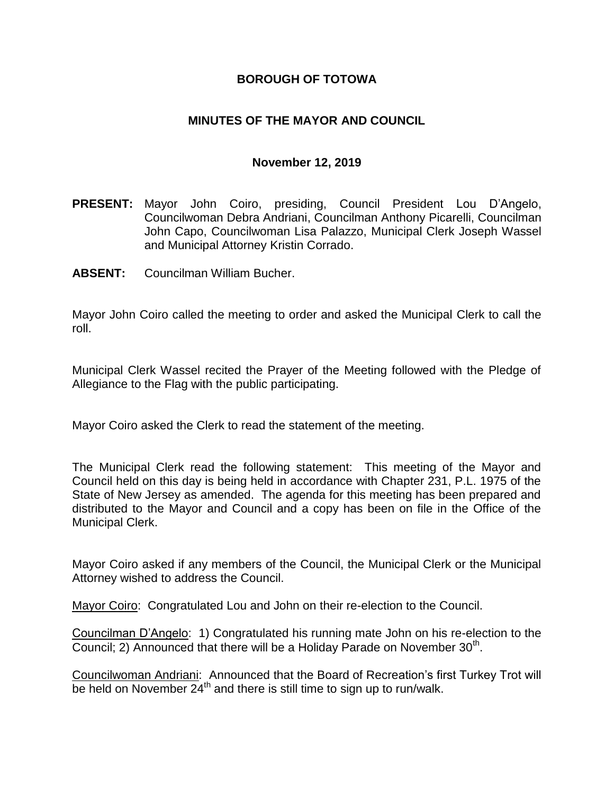# **BOROUGH OF TOTOWA**

# **MINUTES OF THE MAYOR AND COUNCIL**

#### **November 12, 2019**

- **PRESENT:** Mayor John Coiro, presiding, Council President Lou D'Angelo, Councilwoman Debra Andriani, Councilman Anthony Picarelli, Councilman John Capo, Councilwoman Lisa Palazzo, Municipal Clerk Joseph Wassel and Municipal Attorney Kristin Corrado.
- **ABSENT:** Councilman William Bucher.

Mayor John Coiro called the meeting to order and asked the Municipal Clerk to call the roll.

Municipal Clerk Wassel recited the Prayer of the Meeting followed with the Pledge of Allegiance to the Flag with the public participating.

Mayor Coiro asked the Clerk to read the statement of the meeting.

The Municipal Clerk read the following statement: This meeting of the Mayor and Council held on this day is being held in accordance with Chapter 231, P.L. 1975 of the State of New Jersey as amended. The agenda for this meeting has been prepared and distributed to the Mayor and Council and a copy has been on file in the Office of the Municipal Clerk.

Mayor Coiro asked if any members of the Council, the Municipal Clerk or the Municipal Attorney wished to address the Council.

Mayor Coiro: Congratulated Lou and John on their re-election to the Council.

Councilman D'Angelo: 1) Congratulated his running mate John on his re-election to the Council; 2) Announced that there will be a Holiday Parade on November 30<sup>th</sup>.

Councilwoman Andriani: Announced that the Board of Recreation's first Turkey Trot will be held on November  $24<sup>th</sup>$  and there is still time to sign up to run/walk.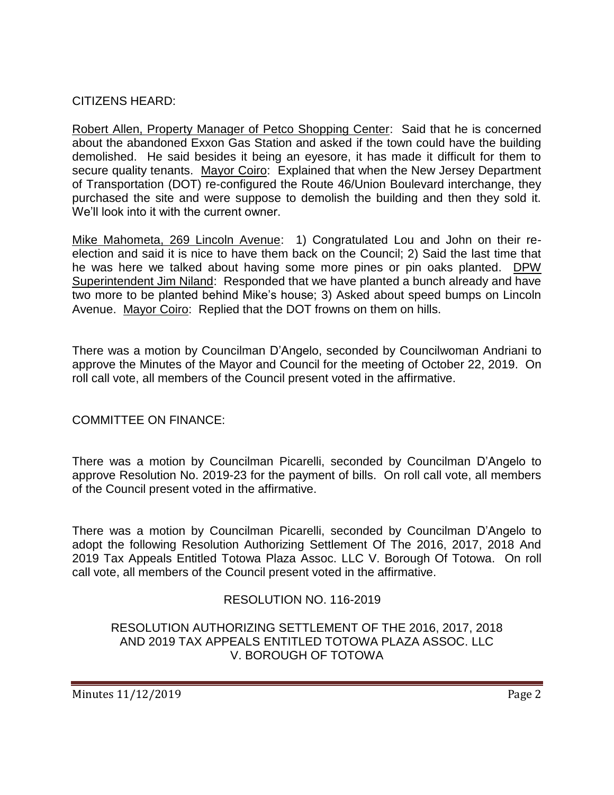# CITIZENS HEARD:

Robert Allen, Property Manager of Petco Shopping Center: Said that he is concerned about the abandoned Exxon Gas Station and asked if the town could have the building demolished. He said besides it being an eyesore, it has made it difficult for them to secure quality tenants. Mayor Coiro: Explained that when the New Jersey Department of Transportation (DOT) re-configured the Route 46/Union Boulevard interchange, they purchased the site and were suppose to demolish the building and then they sold it. We'll look into it with the current owner.

Mike Mahometa, 269 Lincoln Avenue: 1) Congratulated Lou and John on their reelection and said it is nice to have them back on the Council; 2) Said the last time that he was here we talked about having some more pines or pin oaks planted. DPW Superintendent Jim Niland: Responded that we have planted a bunch already and have two more to be planted behind Mike's house; 3) Asked about speed bumps on Lincoln Avenue. Mayor Coiro: Replied that the DOT frowns on them on hills.

There was a motion by Councilman D'Angelo, seconded by Councilwoman Andriani to approve the Minutes of the Mayor and Council for the meeting of October 22, 2019. On roll call vote, all members of the Council present voted in the affirmative.

#### COMMITTEE ON FINANCE:

There was a motion by Councilman Picarelli, seconded by Councilman D'Angelo to approve Resolution No. 2019-23 for the payment of bills. On roll call vote, all members of the Council present voted in the affirmative.

There was a motion by Councilman Picarelli, seconded by Councilman D'Angelo to adopt the following Resolution Authorizing Settlement Of The 2016, 2017, 2018 And 2019 Tax Appeals Entitled Totowa Plaza Assoc. LLC V. Borough Of Totowa. On roll call vote, all members of the Council present voted in the affirmative.

# RESOLUTION NO. 116-2019

RESOLUTION AUTHORIZING SETTLEMENT OF THE 2016, 2017, 2018 AND 2019 TAX APPEALS ENTITLED TOTOWA PLAZA ASSOC. LLC V. BOROUGH OF TOTOWA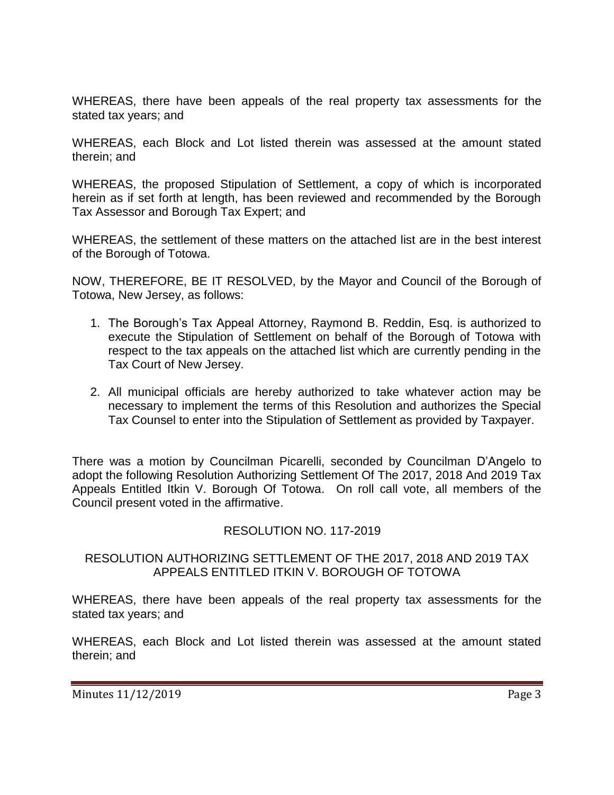WHEREAS, there have been appeals of the real property tax assessments for the stated tax years; and

WHEREAS, each Block and Lot listed therein was assessed at the amount stated therein; and

WHEREAS, the proposed Stipulation of Settlement, a copy of which is incorporated herein as if set forth at length, has been reviewed and recommended by the Borough Tax Assessor and Borough Tax Expert; and

WHEREAS, the settlement of these matters on the attached list are in the best interest of the Borough of Totowa.

NOW, THEREFORE, BE IT RESOLVED, by the Mayor and Council of the Borough of Totowa, New Jersey, as follows:

- 1. The Borough's Tax Appeal Attorney, Raymond B. Reddin, Esq. is authorized to execute the Stipulation of Settlement on behalf of the Borough of Totowa with respect to the tax appeals on the attached list which are currently pending in the Tax Court of New Jersey.
- 2. All municipal officials are hereby authorized to take whatever action may be necessary to implement the terms of this Resolution and authorizes the Special Tax Counsel to enter into the Stipulation of Settlement as provided by Taxpayer.

There was a motion by Councilman Picarelli, seconded by Councilman D'Angelo to adopt the following Resolution Authorizing Settlement Of The 2017, 2018 And 2019 Tax Appeals Entitled Itkin V. Borough Of Totowa. On roll call vote, all members of the Council present voted in the affirmative.

# RESOLUTION NO. 117-2019

## RESOLUTION AUTHORIZING SETTLEMENT OF THE 2017, 2018 AND 2019 TAX APPEALS ENTITLED ITKIN V. BOROUGH OF TOTOWA

WHEREAS, there have been appeals of the real property tax assessments for the stated tax years; and

WHEREAS, each Block and Lot listed therein was assessed at the amount stated therein; and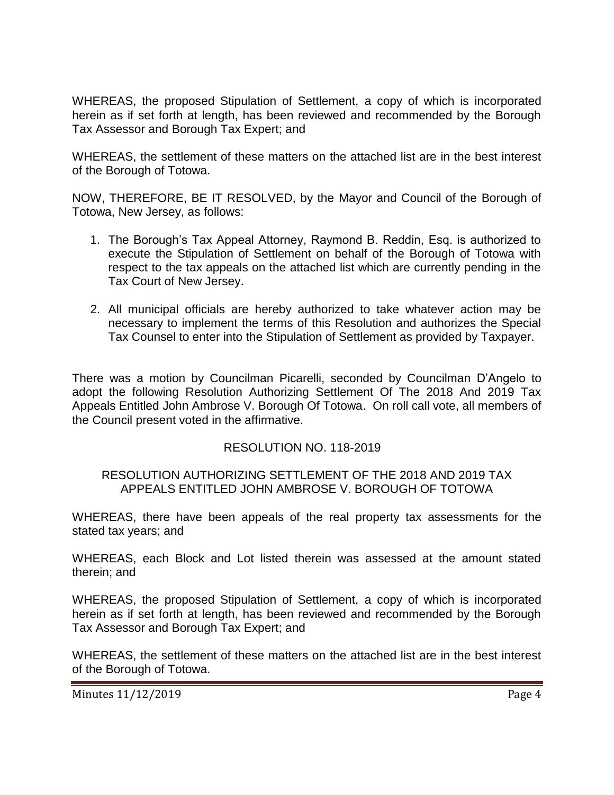WHEREAS, the proposed Stipulation of Settlement, a copy of which is incorporated herein as if set forth at length, has been reviewed and recommended by the Borough Tax Assessor and Borough Tax Expert; and

WHEREAS, the settlement of these matters on the attached list are in the best interest of the Borough of Totowa.

NOW, THEREFORE, BE IT RESOLVED, by the Mayor and Council of the Borough of Totowa, New Jersey, as follows:

- 1. The Borough's Tax Appeal Attorney, Raymond B. Reddin, Esq. is authorized to execute the Stipulation of Settlement on behalf of the Borough of Totowa with respect to the tax appeals on the attached list which are currently pending in the Tax Court of New Jersey.
- 2. All municipal officials are hereby authorized to take whatever action may be necessary to implement the terms of this Resolution and authorizes the Special Tax Counsel to enter into the Stipulation of Settlement as provided by Taxpayer.

There was a motion by Councilman Picarelli, seconded by Councilman D'Angelo to adopt the following Resolution Authorizing Settlement Of The 2018 And 2019 Tax Appeals Entitled John Ambrose V. Borough Of Totowa. On roll call vote, all members of the Council present voted in the affirmative.

# RESOLUTION NO. 118-2019

#### RESOLUTION AUTHORIZING SETTLEMENT OF THE 2018 AND 2019 TAX APPEALS ENTITLED JOHN AMBROSE V. BOROUGH OF TOTOWA

WHEREAS, there have been appeals of the real property tax assessments for the stated tax years; and

WHEREAS, each Block and Lot listed therein was assessed at the amount stated therein; and

WHEREAS, the proposed Stipulation of Settlement, a copy of which is incorporated herein as if set forth at length, has been reviewed and recommended by the Borough Tax Assessor and Borough Tax Expert; and

WHEREAS, the settlement of these matters on the attached list are in the best interest of the Borough of Totowa.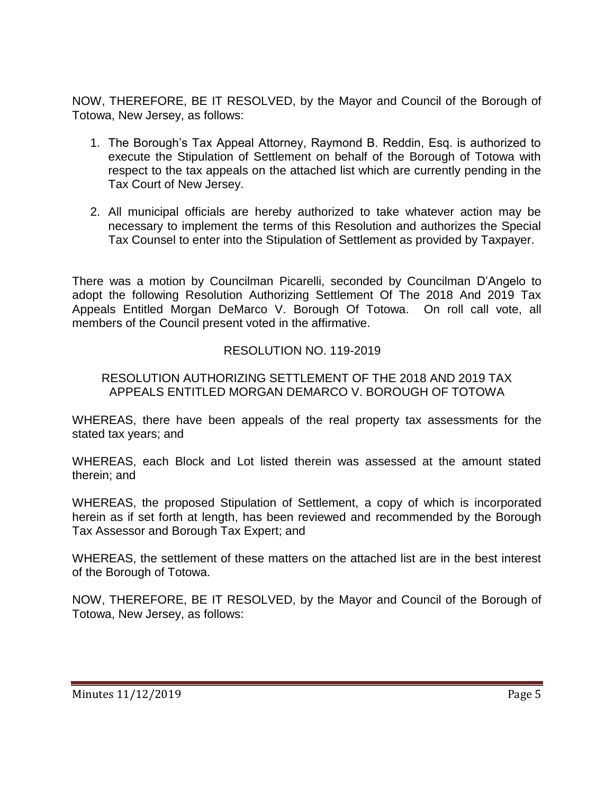NOW, THEREFORE, BE IT RESOLVED, by the Mayor and Council of the Borough of Totowa, New Jersey, as follows:

- 1. The Borough's Tax Appeal Attorney, Raymond B. Reddin, Esq. is authorized to execute the Stipulation of Settlement on behalf of the Borough of Totowa with respect to the tax appeals on the attached list which are currently pending in the Tax Court of New Jersey.
- 2. All municipal officials are hereby authorized to take whatever action may be necessary to implement the terms of this Resolution and authorizes the Special Tax Counsel to enter into the Stipulation of Settlement as provided by Taxpayer.

There was a motion by Councilman Picarelli, seconded by Councilman D'Angelo to adopt the following Resolution Authorizing Settlement Of The 2018 And 2019 Tax Appeals Entitled Morgan DeMarco V. Borough Of Totowa. On roll call vote, all members of the Council present voted in the affirmative.

# RESOLUTION NO. 119-2019

## RESOLUTION AUTHORIZING SETTLEMENT OF THE 2018 AND 2019 TAX APPEALS ENTITLED MORGAN DEMARCO V. BOROUGH OF TOTOWA

WHEREAS, there have been appeals of the real property tax assessments for the stated tax years; and

WHEREAS, each Block and Lot listed therein was assessed at the amount stated therein; and

WHEREAS, the proposed Stipulation of Settlement, a copy of which is incorporated herein as if set forth at length, has been reviewed and recommended by the Borough Tax Assessor and Borough Tax Expert; and

WHEREAS, the settlement of these matters on the attached list are in the best interest of the Borough of Totowa.

NOW, THEREFORE, BE IT RESOLVED, by the Mayor and Council of the Borough of Totowa, New Jersey, as follows: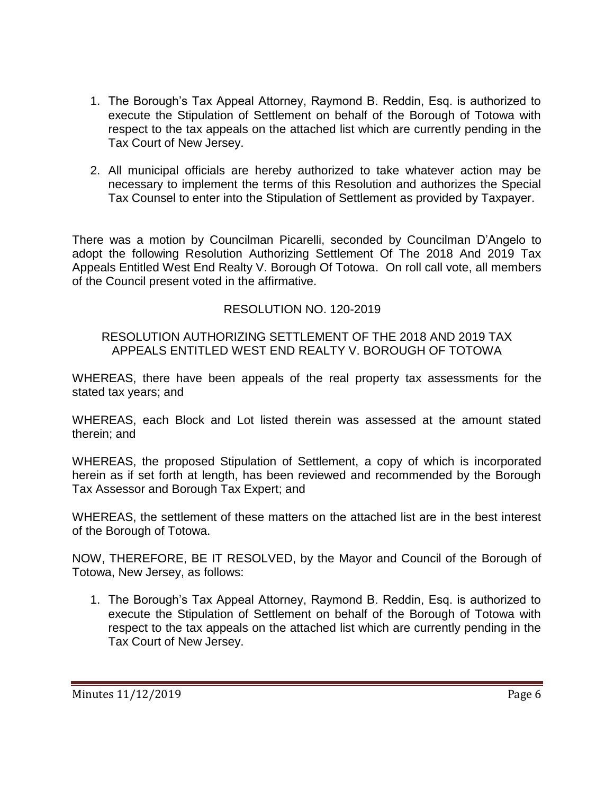- 1. The Borough's Tax Appeal Attorney, Raymond B. Reddin, Esq. is authorized to execute the Stipulation of Settlement on behalf of the Borough of Totowa with respect to the tax appeals on the attached list which are currently pending in the Tax Court of New Jersey.
- 2. All municipal officials are hereby authorized to take whatever action may be necessary to implement the terms of this Resolution and authorizes the Special Tax Counsel to enter into the Stipulation of Settlement as provided by Taxpayer.

There was a motion by Councilman Picarelli, seconded by Councilman D'Angelo to adopt the following Resolution Authorizing Settlement Of The 2018 And 2019 Tax Appeals Entitled West End Realty V. Borough Of Totowa. On roll call vote, all members of the Council present voted in the affirmative.

# RESOLUTION NO. 120-2019

## RESOLUTION AUTHORIZING SETTLEMENT OF THE 2018 AND 2019 TAX APPEALS ENTITLED WEST END REALTY V. BOROUGH OF TOTOWA

WHEREAS, there have been appeals of the real property tax assessments for the stated tax years; and

WHEREAS, each Block and Lot listed therein was assessed at the amount stated therein; and

WHEREAS, the proposed Stipulation of Settlement, a copy of which is incorporated herein as if set forth at length, has been reviewed and recommended by the Borough Tax Assessor and Borough Tax Expert; and

WHEREAS, the settlement of these matters on the attached list are in the best interest of the Borough of Totowa.

NOW, THEREFORE, BE IT RESOLVED, by the Mayor and Council of the Borough of Totowa, New Jersey, as follows:

1. The Borough's Tax Appeal Attorney, Raymond B. Reddin, Esq. is authorized to execute the Stipulation of Settlement on behalf of the Borough of Totowa with respect to the tax appeals on the attached list which are currently pending in the Tax Court of New Jersey.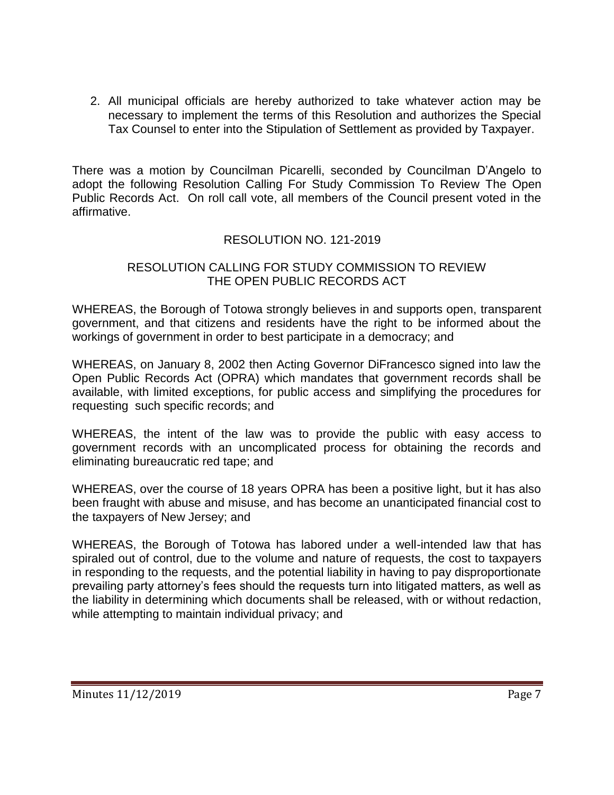2. All municipal officials are hereby authorized to take whatever action may be necessary to implement the terms of this Resolution and authorizes the Special Tax Counsel to enter into the Stipulation of Settlement as provided by Taxpayer.

There was a motion by Councilman Picarelli, seconded by Councilman D'Angelo to adopt the following Resolution Calling For Study Commission To Review The Open Public Records Act. On roll call vote, all members of the Council present voted in the affirmative.

## RESOLUTION NO. 121-2019

#### RESOLUTION CALLING FOR STUDY COMMISSION TO REVIEW THE OPEN PUBLIC RECORDS ACT

WHEREAS, the Borough of Totowa strongly believes in and supports open, transparent government, and that citizens and residents have the right to be informed about the workings of government in order to best participate in a democracy; and

WHEREAS, on January 8, 2002 then Acting Governor DiFrancesco signed into law the Open Public Records Act (OPRA) which mandates that government records shall be available, with limited exceptions, for public access and simplifying the procedures for requesting such specific records; and

WHEREAS, the intent of the law was to provide the public with easy access to government records with an uncomplicated process for obtaining the records and eliminating bureaucratic red tape; and

WHEREAS, over the course of 18 years OPRA has been a positive light, but it has also been fraught with abuse and misuse, and has become an unanticipated financial cost to the taxpayers of New Jersey; and

WHEREAS, the Borough of Totowa has labored under a well-intended law that has spiraled out of control, due to the volume and nature of requests, the cost to taxpayers in responding to the requests, and the potential liability in having to pay disproportionate prevailing party attorney's fees should the requests turn into litigated matters, as well as the liability in determining which documents shall be released, with or without redaction, while attempting to maintain individual privacy; and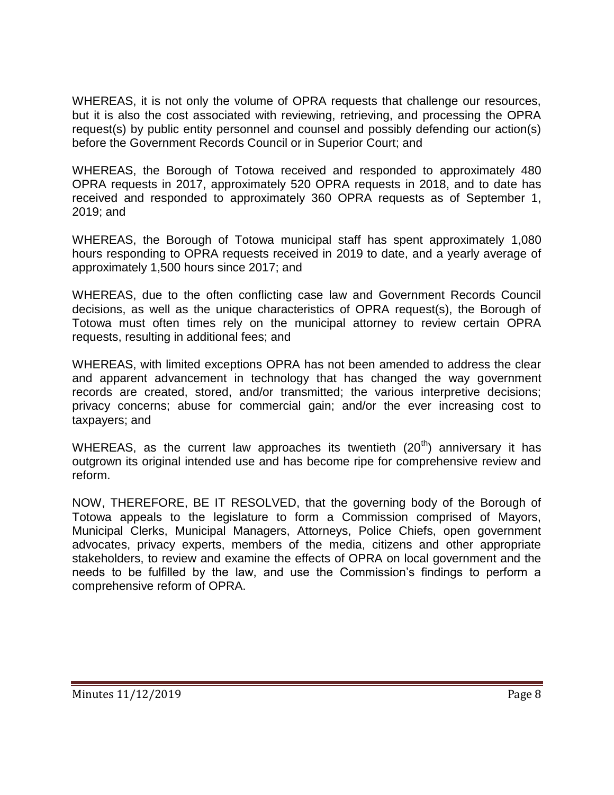WHEREAS, it is not only the volume of OPRA requests that challenge our resources, but it is also the cost associated with reviewing, retrieving, and processing the OPRA request(s) by public entity personnel and counsel and possibly defending our action(s) before the Government Records Council or in Superior Court; and

WHEREAS, the Borough of Totowa received and responded to approximately 480 OPRA requests in 2017, approximately 520 OPRA requests in 2018, and to date has received and responded to approximately 360 OPRA requests as of September 1, 2019; and

WHEREAS, the Borough of Totowa municipal staff has spent approximately 1,080 hours responding to OPRA requests received in 2019 to date, and a yearly average of approximately 1,500 hours since 2017; and

WHEREAS, due to the often conflicting case law and Government Records Council decisions, as well as the unique characteristics of OPRA request(s), the Borough of Totowa must often times rely on the municipal attorney to review certain OPRA requests, resulting in additional fees; and

WHEREAS, with limited exceptions OPRA has not been amended to address the clear and apparent advancement in technology that has changed the way government records are created, stored, and/or transmitted; the various interpretive decisions; privacy concerns; abuse for commercial gain; and/or the ever increasing cost to taxpayers; and

WHEREAS, as the current law approaches its twentieth  $(20<sup>th</sup>)$  anniversary it has outgrown its original intended use and has become ripe for comprehensive review and reform.

NOW, THEREFORE, BE IT RESOLVED, that the governing body of the Borough of Totowa appeals to the legislature to form a Commission comprised of Mayors, Municipal Clerks, Municipal Managers, Attorneys, Police Chiefs, open government advocates, privacy experts, members of the media, citizens and other appropriate stakeholders, to review and examine the effects of OPRA on local government and the needs to be fulfilled by the law, and use the Commission's findings to perform a comprehensive reform of OPRA.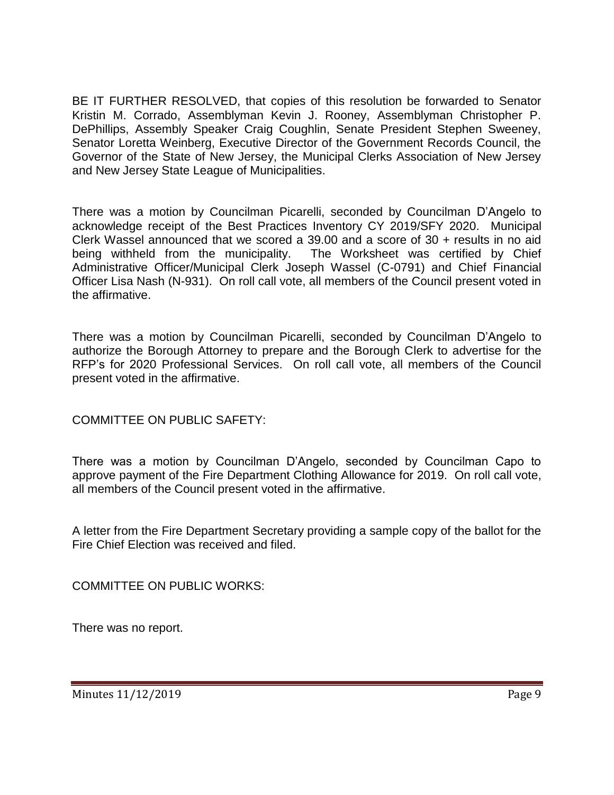BE IT FURTHER RESOLVED, that copies of this resolution be forwarded to Senator Kristin M. Corrado, Assemblyman Kevin J. Rooney, Assemblyman Christopher P. DePhillips, Assembly Speaker Craig Coughlin, Senate President Stephen Sweeney, Senator Loretta Weinberg, Executive Director of the Government Records Council, the Governor of the State of New Jersey, the Municipal Clerks Association of New Jersey and New Jersey State League of Municipalities.

There was a motion by Councilman Picarelli, seconded by Councilman D'Angelo to acknowledge receipt of the Best Practices Inventory CY 2019/SFY 2020. Municipal Clerk Wassel announced that we scored a 39.00 and a score of 30 + results in no aid being withheld from the municipality. The Worksheet was certified by Chief Administrative Officer/Municipal Clerk Joseph Wassel (C-0791) and Chief Financial Officer Lisa Nash (N-931). On roll call vote, all members of the Council present voted in the affirmative.

There was a motion by Councilman Picarelli, seconded by Councilman D'Angelo to authorize the Borough Attorney to prepare and the Borough Clerk to advertise for the RFP's for 2020 Professional Services. On roll call vote, all members of the Council present voted in the affirmative.

COMMITTEE ON PUBLIC SAFETY:

There was a motion by Councilman D'Angelo, seconded by Councilman Capo to approve payment of the Fire Department Clothing Allowance for 2019. On roll call vote, all members of the Council present voted in the affirmative.

A letter from the Fire Department Secretary providing a sample copy of the ballot for the Fire Chief Election was received and filed.

COMMITTEE ON PUBLIC WORKS:

There was no report.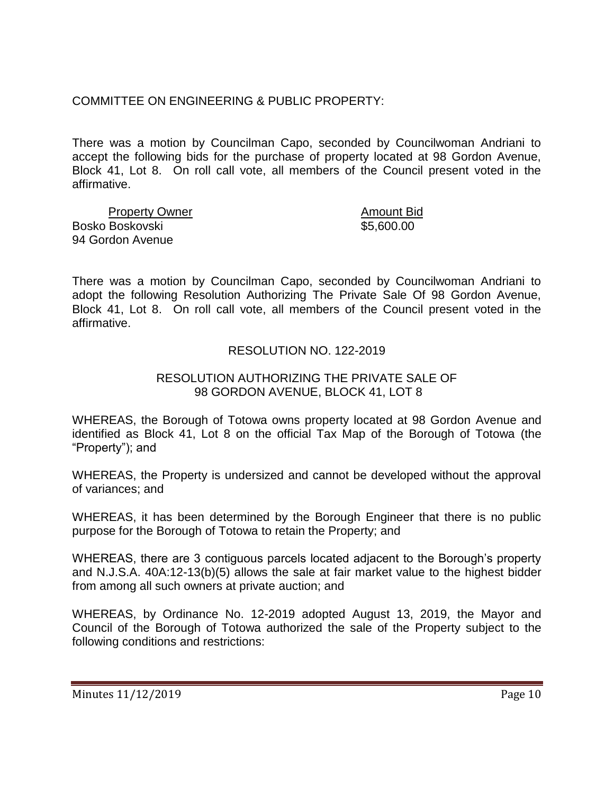COMMITTEE ON ENGINEERING & PUBLIC PROPERTY:

There was a motion by Councilman Capo, seconded by Councilwoman Andriani to accept the following bids for the purchase of property located at 98 Gordon Avenue, Block 41, Lot 8. On roll call vote, all members of the Council present voted in the affirmative.

Property Owner **Amount Bid** Bosko Boskovski \$5,600.00 94 Gordon Avenue

There was a motion by Councilman Capo, seconded by Councilwoman Andriani to adopt the following Resolution Authorizing The Private Sale Of 98 Gordon Avenue, Block 41, Lot 8. On roll call vote, all members of the Council present voted in the affirmative.

# RESOLUTION NO. 122-2019

# RESOLUTION AUTHORIZING THE PRIVATE SALE OF 98 GORDON AVENUE, BLOCK 41, LOT 8

WHEREAS, the Borough of Totowa owns property located at 98 Gordon Avenue and identified as Block 41, Lot 8 on the official Tax Map of the Borough of Totowa (the "Property"); and

WHEREAS, the Property is undersized and cannot be developed without the approval of variances; and

WHEREAS, it has been determined by the Borough Engineer that there is no public purpose for the Borough of Totowa to retain the Property; and

WHEREAS, there are 3 contiguous parcels located adjacent to the Borough's property and N.J.S.A. 40A:12-13(b)(5) allows the sale at fair market value to the highest bidder from among all such owners at private auction; and

WHEREAS, by Ordinance No. 12-2019 adopted August 13, 2019, the Mayor and Council of the Borough of Totowa authorized the sale of the Property subject to the following conditions and restrictions: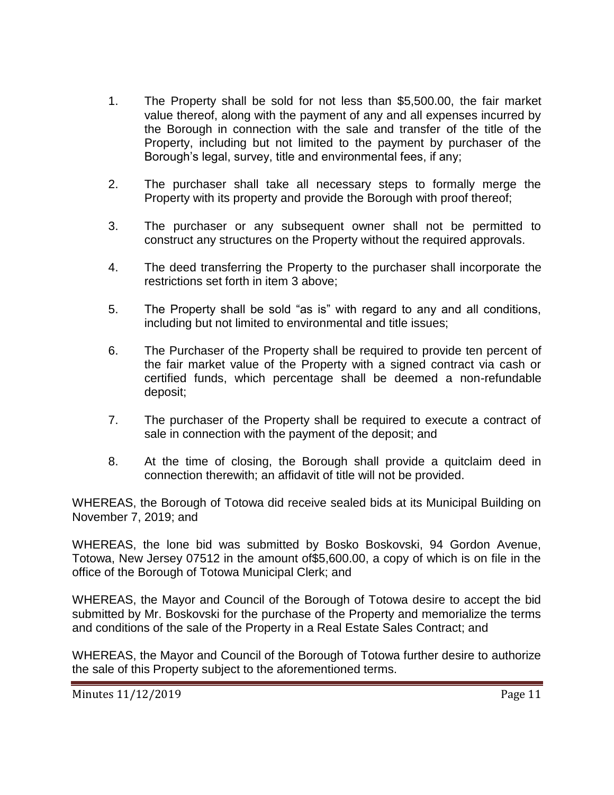- 1. The Property shall be sold for not less than \$5,500.00, the fair market value thereof, along with the payment of any and all expenses incurred by the Borough in connection with the sale and transfer of the title of the Property, including but not limited to the payment by purchaser of the Borough's legal, survey, title and environmental fees, if any;
- 2. The purchaser shall take all necessary steps to formally merge the Property with its property and provide the Borough with proof thereof;
- 3. The purchaser or any subsequent owner shall not be permitted to construct any structures on the Property without the required approvals.
- 4. The deed transferring the Property to the purchaser shall incorporate the restrictions set forth in item 3 above;
- 5. The Property shall be sold "as is" with regard to any and all conditions, including but not limited to environmental and title issues;
- 6. The Purchaser of the Property shall be required to provide ten percent of the fair market value of the Property with a signed contract via cash or certified funds, which percentage shall be deemed a non-refundable deposit;
- 7. The purchaser of the Property shall be required to execute a contract of sale in connection with the payment of the deposit; and
- 8. At the time of closing, the Borough shall provide a quitclaim deed in connection therewith; an affidavit of title will not be provided.

WHEREAS, the Borough of Totowa did receive sealed bids at its Municipal Building on November 7, 2019; and

WHEREAS, the lone bid was submitted by Bosko Boskovski, 94 Gordon Avenue, Totowa, New Jersey 07512 in the amount of\$5,600.00, a copy of which is on file in the office of the Borough of Totowa Municipal Clerk; and

WHEREAS, the Mayor and Council of the Borough of Totowa desire to accept the bid submitted by Mr. Boskovski for the purchase of the Property and memorialize the terms and conditions of the sale of the Property in a Real Estate Sales Contract; and

WHEREAS, the Mayor and Council of the Borough of Totowa further desire to authorize the sale of this Property subject to the aforementioned terms.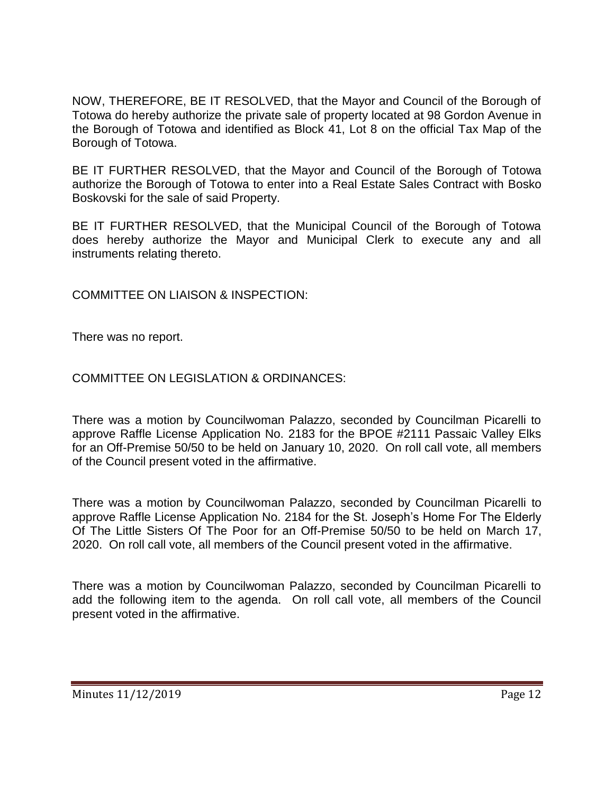NOW, THEREFORE, BE IT RESOLVED, that the Mayor and Council of the Borough of Totowa do hereby authorize the private sale of property located at 98 Gordon Avenue in the Borough of Totowa and identified as Block 41, Lot 8 on the official Tax Map of the Borough of Totowa.

BE IT FURTHER RESOLVED, that the Mayor and Council of the Borough of Totowa authorize the Borough of Totowa to enter into a Real Estate Sales Contract with Bosko Boskovski for the sale of said Property.

BE IT FURTHER RESOLVED, that the Municipal Council of the Borough of Totowa does hereby authorize the Mayor and Municipal Clerk to execute any and all instruments relating thereto.

COMMITTEE ON LIAISON & INSPECTION:

There was no report.

COMMITTEE ON LEGISLATION & ORDINANCES:

There was a motion by Councilwoman Palazzo, seconded by Councilman Picarelli to approve Raffle License Application No. 2183 for the BPOE #2111 Passaic Valley Elks for an Off-Premise 50/50 to be held on January 10, 2020. On roll call vote, all members of the Council present voted in the affirmative.

There was a motion by Councilwoman Palazzo, seconded by Councilman Picarelli to approve Raffle License Application No. 2184 for the St. Joseph's Home For The Elderly Of The Little Sisters Of The Poor for an Off-Premise 50/50 to be held on March 17, 2020. On roll call vote, all members of the Council present voted in the affirmative.

There was a motion by Councilwoman Palazzo, seconded by Councilman Picarelli to add the following item to the agenda. On roll call vote, all members of the Council present voted in the affirmative.